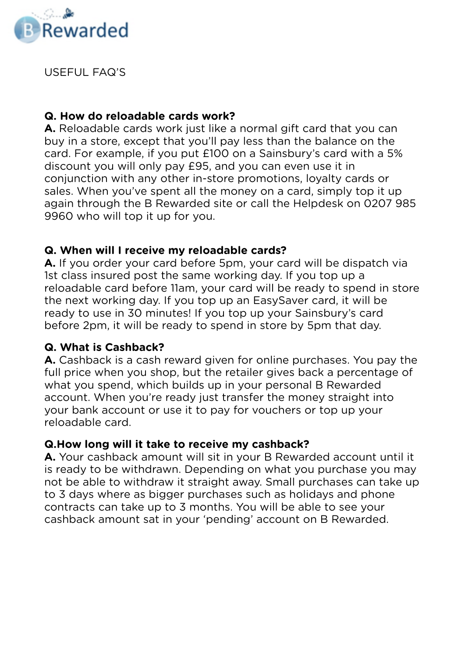

USEFUL FAQ'S

### **Q. How do reloadable cards work?**

**A.** Reloadable cards work just like a normal gift card that you can buy in a store, except that you'll pay less than the balance on the card. For example, if you put £100 on a Sainsbury's card with a 5% discount you will only pay £95, and you can even use it in conjunction with any other in-store promotions, loyalty cards or sales. When you've spent all the money on a card, simply top it up again through the B Rewarded site or call the Helpdesk on 0207 985 9960 who will top it up for you.

### **Q. When will I receive my reloadable cards?**

**A.** If you order your card before 5pm, your card will be dispatch via 1st class insured post the same working day. If you top up a reloadable card before 11am, your card will be ready to spend in store the next working day. If you top up an EasySaver card, it will be ready to use in 30 minutes! If you top up your Sainsbury's card before 2pm, it will be ready to spend in store by 5pm that day.

### **Q. What is Cashback?**

**A.** Cashback is a cash reward given for online purchases. You pay the full price when you shop, but the retailer gives back a percentage of what you spend, which builds up in your personal B Rewarded account. When you're ready just transfer the money straight into your bank account or use it to pay for vouchers or top up your reloadable card.

### **Q.How long will it take to receive my cashback?**

**A.** Your cashback amount will sit in your B Rewarded account until it is ready to be withdrawn. Depending on what you purchase you may not be able to withdraw it straight away. Small purchases can take up to 3 days where as bigger purchases such as holidays and phone contracts can take up to 3 months. You will be able to see your cashback amount sat in your 'pending' account on B Rewarded.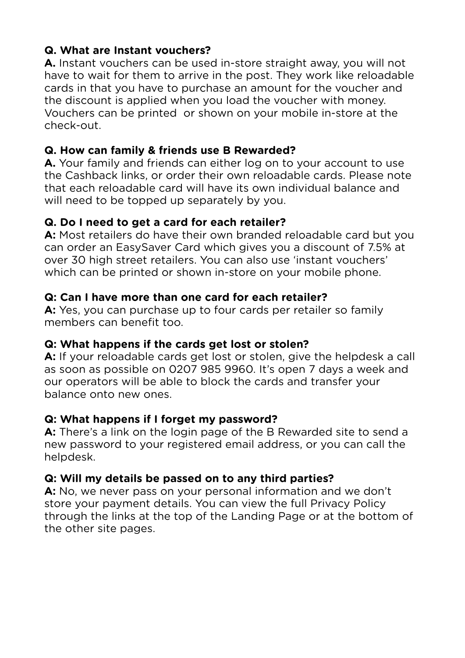# **Q. What are Instant vouchers?**

**A.** Instant vouchers can be used in-store straight away, you will not have to wait for them to arrive in the post. They work like reloadable cards in that you have to purchase an amount for the voucher and the discount is applied when you load the voucher with money. Vouchers can be printed or shown on your mobile in-store at the check-out.

# **Q. How can family & friends use B Rewarded?**

**A.** Your family and friends can either log on to your account to use the Cashback links, or order their own reloadable cards. Please note that each reloadable card will have its own individual balance and will need to be topped up separately by you.

## **Q. Do I need to get a card for each retailer?**

**A:** Most retailers do have their own branded reloadable card but you can order an EasySaver Card which gives you a discount of 7.5% at over 30 high street retailers. You can also use 'instant vouchers' which can be printed or shown in-store on your mobile phone.

## **Q: Can I have more than one card for each retailer?**

**A:** Yes, you can purchase up to four cards per retailer so family members can benefit too.

### **Q: What happens if the cards get lost or stolen?**

A: If your reloadable cards get lost or stolen, give the helpdesk a call as soon as possible on 0207 985 9960. It's open 7 days a week and our operators will be able to block the cards and transfer your balance onto new ones.

### **Q: What happens if I forget my password?**

**A:** There's a link on the login page of the B Rewarded site to send a new password to your registered email address, or you can call the helpdesk.

## **Q: Will my details be passed on to any third parties?**

**A:** No, we never pass on your personal information and we don't store your payment details. You can view the full Privacy Policy through the links at the top of the Landing Page or at the bottom of the other site pages.